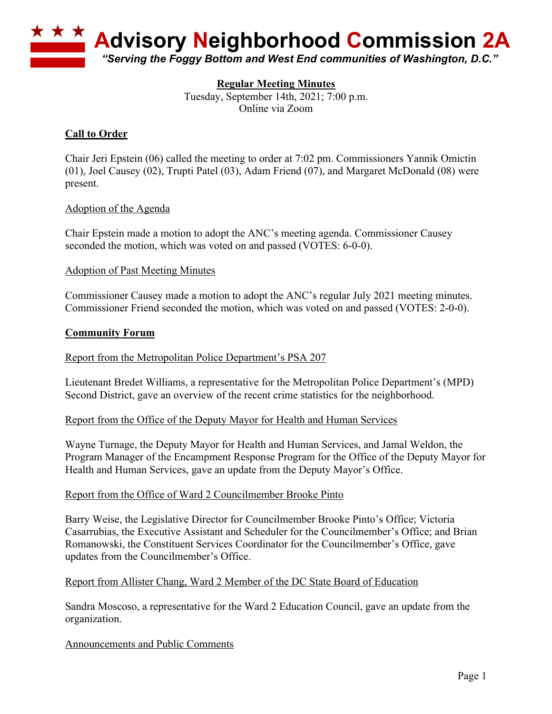

# **Regular Meeting Minutes**

Tuesday, September 14th, 2021; 7:00 p.m. Online via Zoom

# **Call to Order**

Chair Jeri Epstein (06) called the meeting to order at 7:02 pm. Commissioners Yannik Omictin (01), Joel Causey (02), Trupti Patel (03), Adam Friend (07), and Margaret McDonald (08) were present.

#### Adoption of the Agenda

Chair Epstein made a motion to adopt the ANC's meeting agenda. Commissioner Causey seconded the motion, which was voted on and passed (VOTES: 6-0-0).

#### Adoption of Past Meeting Minutes

Commissioner Causey made a motion to adopt the ANC's regular July 2021 meeting minutes. Commissioner Friend seconded the motion, which was voted on and passed (VOTES: 2-0-0).

#### **Community Forum**

#### Report from the Metropolitan Police Department's PSA 207

Lieutenant Bredet Williams, a representative for the Metropolitan Police Department's (MPD) Second District, gave an overview of the recent crime statistics for the neighborhood.

#### Report from the Office of the Deputy Mayor for Health and Human Services

Wayne Turnage, the Deputy Mayor for Health and Human Services, and Jamal Weldon, the Program Manager of the Encampment Response Program for the Office of the Deputy Mayor for Health and Human Services, gave an update from the Deputy Mayor's Office.

#### Report from the Office of Ward 2 Councilmember Brooke Pinto

Barry Weise, the Legislative Director for Councilmember Brooke Pinto's Office; Victoria Casarrubias, the Executive Assistant and Scheduler for the Councilmember's Office; and Brian Romanowski, the Constituent Services Coordinator for the Councilmember's Office, gave updates from the Councilmember's Office.

#### Report from Allister Chang, Ward 2 Member of the DC State Board of Education

Sandra Moscoso, a representative for the Ward 2 Education Council, gave an update from the organization.

#### Announcements and Public Comments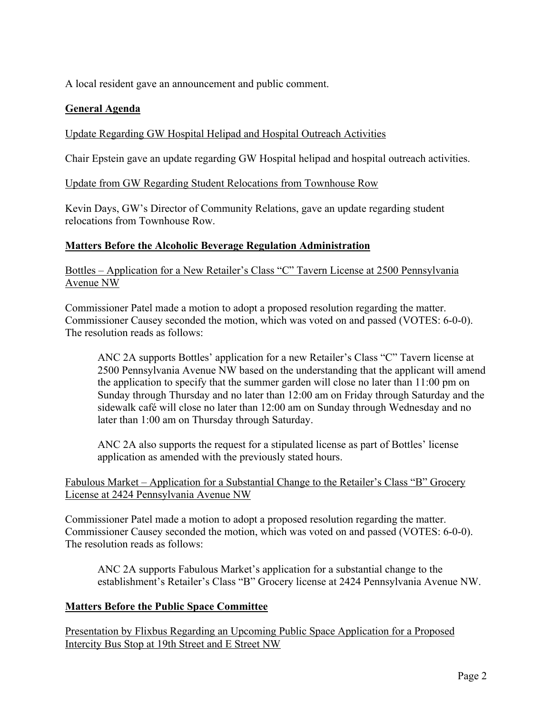A local resident gave an announcement and public comment.

# **General Agenda**

### Update Regarding GW Hospital Helipad and Hospital Outreach Activities

Chair Epstein gave an update regarding GW Hospital helipad and hospital outreach activities.

Update from GW Regarding Student Relocations from Townhouse Row

Kevin Days, GW's Director of Community Relations, gave an update regarding student relocations from Townhouse Row.

### **Matters Before the Alcoholic Beverage Regulation Administration**

Bottles – Application for a New Retailer's Class "C" Tavern License at 2500 Pennsylvania Avenue NW

Commissioner Patel made a motion to adopt a proposed resolution regarding the matter. Commissioner Causey seconded the motion, which was voted on and passed (VOTES: 6-0-0). The resolution reads as follows:

ANC 2A supports Bottles' application for a new Retailer's Class "C" Tavern license at 2500 Pennsylvania Avenue NW based on the understanding that the applicant will amend the application to specify that the summer garden will close no later than 11:00 pm on Sunday through Thursday and no later than 12:00 am on Friday through Saturday and the sidewalk café will close no later than 12:00 am on Sunday through Wednesday and no later than 1:00 am on Thursday through Saturday.

ANC 2A also supports the request for a stipulated license as part of Bottles' license application as amended with the previously stated hours.

### Fabulous Market – Application for a Substantial Change to the Retailer's Class "B" Grocery License at 2424 Pennsylvania Avenue NW

Commissioner Patel made a motion to adopt a proposed resolution regarding the matter. Commissioner Causey seconded the motion, which was voted on and passed (VOTES: 6-0-0). The resolution reads as follows:

ANC 2A supports Fabulous Market's application for a substantial change to the establishment's Retailer's Class "B" Grocery license at 2424 Pennsylvania Avenue NW.

### **Matters Before the Public Space Committee**

Presentation by Flixbus Regarding an Upcoming Public Space Application for a Proposed Intercity Bus Stop at 19th Street and E Street NW